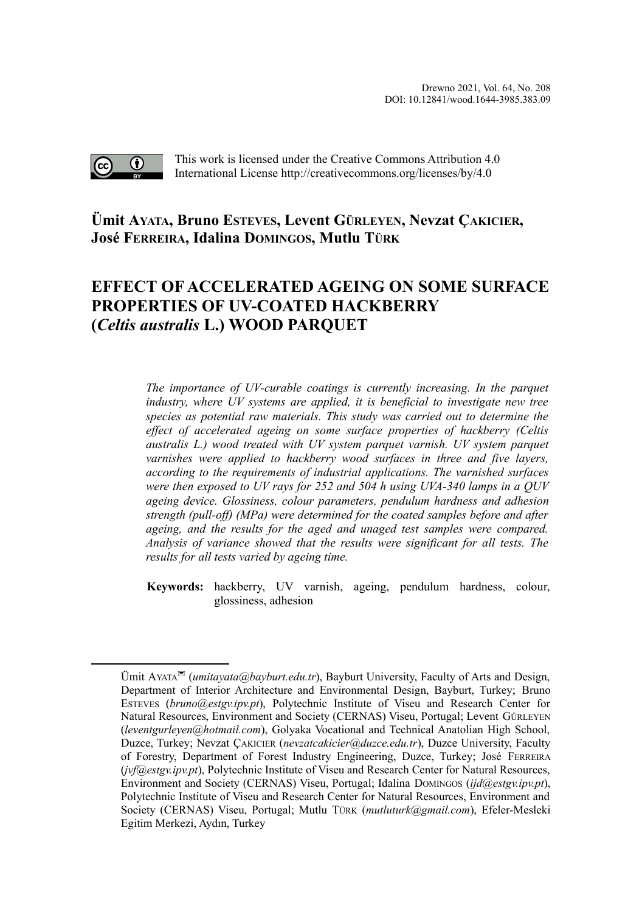

This work is licensed under the Creative Commons Attribution 4.0 International License http://creativecommons.org/licenses/by/4.0

# **Ümit AYATA, Bruno ESTEVES, Levent GÜRLEYEN, Nevzat ÇAKICIER, José FERREIRA, Idalina DOMINGOS, Mutlu TÜR[K](#page-0-0)**

# **EFFECT OF ACCELERATED AGEING ON SOME SURFACE PROPERTIES OF UV-COATED HACKBERRY (***Celtis australis* **L.) WOOD PARQUET**

*The importance of UV-curable coatings is currently increasing. In the parquet industry, where UV systems are applied, it is beneficial to investigate new tree species as potential raw materials. This study was carried out to determine the effect of accelerated ageing on some surface properties of hackberry (Celtis australis L.) wood treated with UV system parquet varnish. UV system parquet varnishes were applied to hackberry wood surfaces in three and five layers, according to the requirements of industrial applications. The varnished surfaces were then exposed to UV rays for 252 and 504 h using UVA-340 lamps in a QUV ageing device. Glossiness, colour parameters, pendulum hardness and adhesion strength (pull-off) (MPa) were determined for the coated samples before and after ageing, and the results for the aged and unaged test samples were compared. Analysis of variance showed that the results were significant for all tests. The results for all tests varied by ageing time.*

**Keywords:** hackberry, UV varnish, ageing, pendulum hardness, colour, glossiness, adhesion

<span id="page-0-0"></span>Ümit AYATA (*umitayata@bayburt.edu.tr*), Bayburt University, Faculty of Arts and Design, Department of Interior Architecture and Environmental Design, Bayburt, Turkey; Bruno ESTEVES (*bruno@estgv.ipv.pt*), Polytechnic Institute of Viseu and Research Center for Natural Resources, Environment and Society (CERNAS) Viseu, Portugal; Levent GÜRLEYEN (*leventgurleyen@hotmail.com*), Golyaka Vocational and Technical Anatolian High School, Duzce, Turkey; Nevzat ÇAKICIER (*nevzatcakicier@duzce.edu.tr*), Duzce University, Faculty of Forestry, Department of Forest Industry Engineering, Duzce, Turkey; José FERREIRA (*jvf@estgv.ipv.pt*), Polytechnic Institute of Viseu and Research Center for Natural Resources, Environment and Society (CERNAS) Viseu, Portugal; Idalina DOMINGOS (*ijd@estgv.ipv.pt*), Polytechnic Institute of Viseu and Research Center for Natural Resources, Environment and Society (CERNAS) Viseu, Portugal; Mutlu TÜRK (*mutluturk@gmail.com*), Efeler-Mesleki Egitim Merkezi, Aydın, Turkey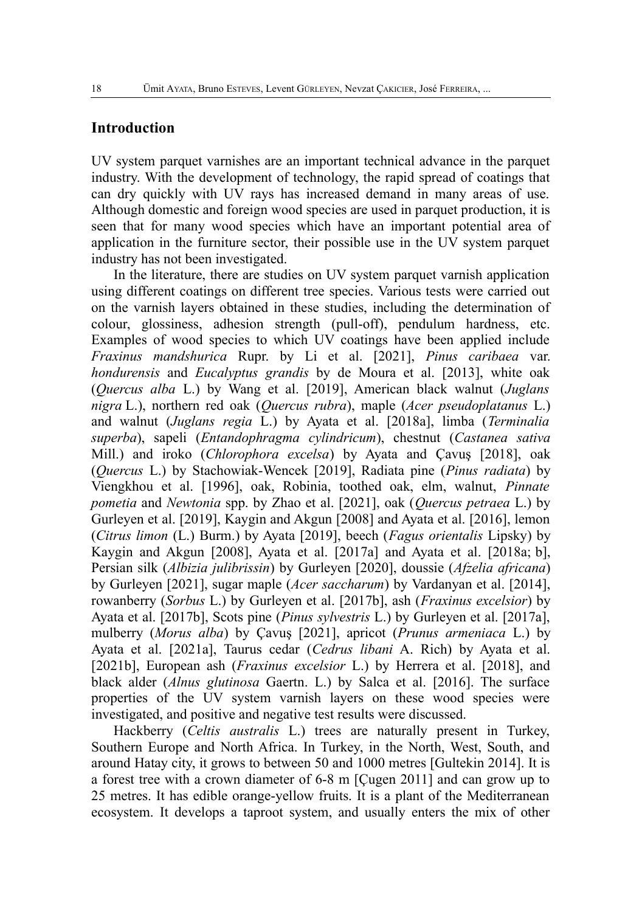## **Introduction**

UV system parquet varnishes are an important technical advance in the parquet industry. With the development of technology, the rapid spread of coatings that can dry quickly with UV rays has increased demand in many areas of use. Although domestic and foreign wood species are used in parquet production, it is seen that for many wood species which have an important potential area of application in the furniture sector, their possible use in the UV system parquet industry has not been investigated.

In the literature, there are studies on UV system parquet varnish application using different coatings on different tree species. Various tests were carried out on the varnish layers obtained in these studies, including the determination of colour, glossiness, adhesion strength (pull-off), pendulum hardness, etc. Examples of wood species to which UV coatings have been applied include *Fraxinus mandshurica* Rupr. by Li et al. [2021], *Pinus caribaea* var. *hondurensis* and *Eucalyptus grandis* by de Moura et al. [2013], white oak (*Quercus alba* L.) by Wang et al. [2019], American black walnut (*Juglans nigra* L.), northern red oak (*Quercus rubra*), maple (*Acer pseudoplatanus* L.) and walnut (*Juglans regia* L.) by Ayata et al. [2018a], limba (*Terminalia superba*), sapeli (*Entandophragma cylindricum*), chestnut (*Castanea sativa* Mill.) and iroko (*Chlorophora excelsa*) by Ayata and Çavuş [2018], oak (*Quercus* L.) by Stachowiak-Wencek [2019], Radiata pine (*Pinus radiata*) by Viengkhou et al. [1996], oak, Robinia, toothed oak, elm, walnut, *Pinnate pometia* and *Newtonia* spp. by Zhao et al. [2021], oak (*Quercus petraea* L.) by Gurleyen et al. [2019], Kaygin and Akgun [2008] and Ayata et al. [2016], lemon (*Citrus limon* (L.) Burm.) by Ayata [2019], beech (*Fagus orientalis* Lipsky) by Kaygin and Akgun [2008], Ayata et al. [2017a] and Ayata et al. [2018a; b], Persian silk (*Albizia julibrissin*) by Gurleyen [2020], doussie (*Afzelia africana*) by Gurleyen [2021], sugar maple (*Acer saccharum*) by Vardanyan et al. [2014], rowanberry (*Sorbus* L.) by Gurleyen et al. [2017b], ash (*Fraxinus excelsior*) by Ayata et al. [2017b], Scots pine (*Pinus sylvestris* L.) by Gurleyen et al. [2017a], mulberry (*Morus alba*) by Çavuş [2021], apricot (*Prunus armeniaca* L.) by Ayata et al. [2021a], Taurus cedar (*Cedrus libani* A. Rich) by Ayata et al. [2021b], European ash (*Fraxinus excelsior* L.) by Herrera et al. [2018], and black alder (*Alnus glutinosa* Gaertn. L.) by Salca et al. [2016]. The surface properties of the UV system varnish layers on these wood species were investigated, and positive and negative test results were discussed.

Hackberry (*Celtis australis* L.) trees are naturally present in Turkey, Southern Europe and North Africa. In Turkey, in the North, West, South, and around Hatay city, it grows to between 50 and 1000 metres [Gultekin 2014]. It is a forest tree with a crown diameter of 6-8 m [Çugen 2011] and can grow up to 25 metres. It has edible orange-yellow fruits. It is a plant of the Mediterranean ecosystem. It develops a taproot system, and usually enters the mix of other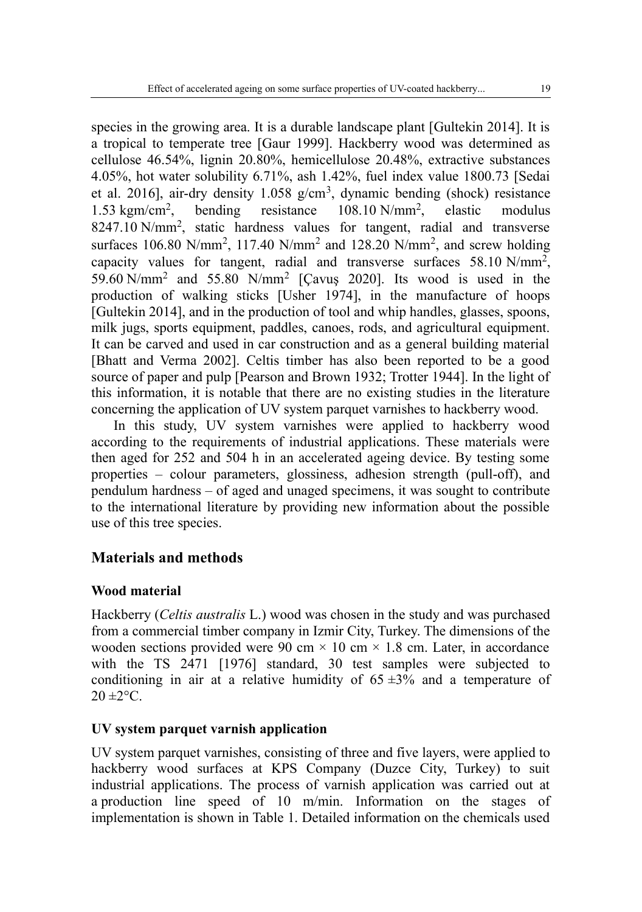species in the growing area. It is a durable landscape plant [Gultekin 2014]. It is a tropical to temperate tree [Gaur 1999]. Hackberry wood was determined as cellulose 46.54%, lignin 20.80%, hemicellulose 20.48%, extractive substances 4.05%, hot water solubility 6.71%, ash 1.42%, fuel index value 1800.73 [Sedai et al. 2016], air-dry density  $1.058$  g/cm<sup>3</sup>, dynamic bending (shock) resistance  $1.53$  kgm/cm<sup>2</sup>. , bending resistance 108.10 N/mm<sup>2</sup> , elastic modulus 8247.10 N/mm<sup>2</sup>, static hardness values for tangent, radial and transverse surfaces 106.80 N/mm<sup>2</sup>, 117.40 N/mm<sup>2</sup> and 128.20 N/mm<sup>2</sup>, and screw holding capacity values for tangent, radial and transverse surfaces 58.10 N/mm<sup>2</sup>, 59.60 N/mm<sup>2</sup> and 55.80 N/mm<sup>2</sup> [Çavuş 2020]. Its wood is used in the production of walking sticks [Usher 1974], in the manufacture of hoops [Gultekin 2014], and in the production of tool and whip handles, glasses, spoons, milk jugs, sports equipment, paddles, canoes, rods, and agricultural equipment. It can be carved and used in car construction and as a general building material [Bhatt and Verma 2002]. Celtis timber has also been reported to be a good source of paper and pulp [Pearson and Brown 1932; Trotter 1944]. In the light of this information, it is notable that there are no existing studies in the literature concerning the application of UV system parquet varnishes to hackberry wood.

In this study, UV system varnishes were applied to hackberry wood according to the requirements of industrial applications. These materials were then aged for 252 and 504 h in an accelerated ageing device. By testing some properties – colour parameters, glossiness, adhesion strength (pull-off), and pendulum hardness – of aged and unaged specimens, it was sought to contribute to the international literature by providing new information about the possible use of this tree species.

## **Materials and methods**

## **Wood material**

Hackberry (*Celtis australis* L.) wood was chosen in the study and was purchased from a commercial timber company in Izmir City, Turkey. The dimensions of the wooden sections provided were 90 cm  $\times$  10 cm  $\times$  1.8 cm. Later, in accordance with the TS 2471 [1976] standard, 30 test samples were subjected to conditioning in air at a relative humidity of  $65 \pm 3\%$  and a temperature of  $20 \pm 2^{\circ}$ C.

## **UV system parquet varnish application**

UV system parquet varnishes, consisting of three and five layers, were applied to hackberry wood surfaces at KPS Company (Duzce City, Turkey) to suit industrial applications. The process of varnish application was carried out at a production line speed of 10 m/min. Information on the stages of implementation is shown in Table 1. Detailed information on the chemicals used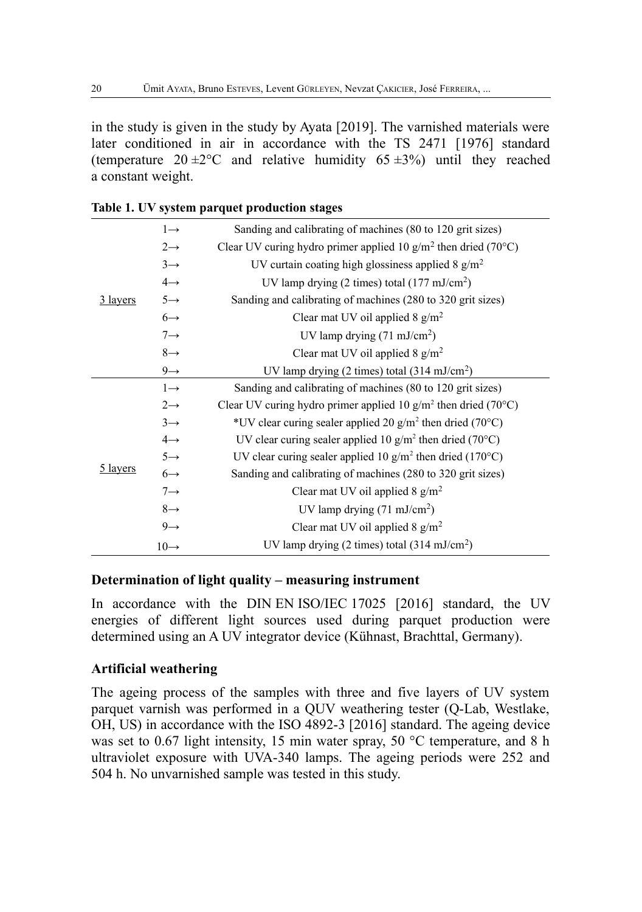in the study is given in the study by Ayata [2019]. The varnished materials were later conditioned in air in accordance with the TS 2471 [1976] standard (temperature  $20 \pm 2^{\circ}$ C and relative humidity  $65 \pm 3\%$ ) until they reached a constant weight.

|          | $1 \rightarrow$  | Sanding and calibrating of machines (80 to 120 grit sizes)        |
|----------|------------------|-------------------------------------------------------------------|
|          | $2 \rightarrow$  | Clear UV curing hydro primer applied 10 $g/m^2$ then dried (70°C) |
|          | $3 \rightarrow$  | UV curtain coating high glossiness applied 8 $g/m2$               |
|          | $4\rightarrow$   | UV lamp drying $(2 \text{ times})$ total $(177 \text{ mJ/cm}^2)$  |
| 3 layers | $5 \rightarrow$  | Sanding and calibrating of machines (280 to 320 grit sizes)       |
|          | $6 \rightarrow$  | Clear mat UV oil applied 8 $g/m^2$                                |
|          | $7 \rightarrow$  | UV lamp drying $(71 \text{ mJ/cm}^2)$                             |
|          | $8 \rightarrow$  | Clear mat UV oil applied 8 $g/m^2$                                |
|          | $9 \rightarrow$  | UV lamp drying $(2 \text{ times})$ total $(314 \text{ mJ/cm}^2)$  |
|          | $1 \rightarrow$  | Sanding and calibrating of machines (80 to 120 grit sizes)        |
|          | $2 \rightarrow$  | Clear UV curing hydro primer applied 10 $g/m^2$ then dried (70°C) |
|          | $3 \rightarrow$  | *UV clear curing sealer applied 20 $g/m^2$ then dried (70°C)      |
|          | $4 \rightarrow$  | UV clear curing sealer applied 10 $g/m^2$ then dried (70°C)       |
|          | $5 \rightarrow$  | UV clear curing sealer applied 10 $g/m^2$ then dried (170°C)      |
| 5 layers | $6 \rightarrow$  | Sanding and calibrating of machines (280 to 320 grit sizes)       |
|          | $7 \rightarrow$  | Clear mat UV oil applied 8 $g/m^2$                                |
|          | $8 \rightarrow$  | UV lamp drying $(71 \text{ mJ/cm}^2)$                             |
|          | $9 \rightarrow$  | Clear mat UV oil applied 8 $g/m^2$                                |
|          | $10 \rightarrow$ | UV lamp drying $(2 \text{ times})$ total $(314 \text{ mJ/cm}^2)$  |

## **Table 1. UV system parquet production stages**

#### **Determination of light quality – measuring instrument**

In accordance with the DIN EN ISO/IEC 17025 [2016] standard, the UV energies of different light sources used during parquet production were determined using an A UV integrator device (Kühnast, Brachttal, Germany).

### **Artificial weathering**

The ageing process of the samples with three and five layers of UV system parquet varnish was performed in a QUV weathering tester (Q-Lab, Westlake, OH, US) in accordance with the ISO 4892-3 [2016] standard. The ageing device was set to 0.67 light intensity, 15 min water spray, 50 °C temperature, and 8 h ultraviolet exposure with UVA-340 lamps. The ageing periods were 252 and 504 h. No unvarnished sample was tested in this study.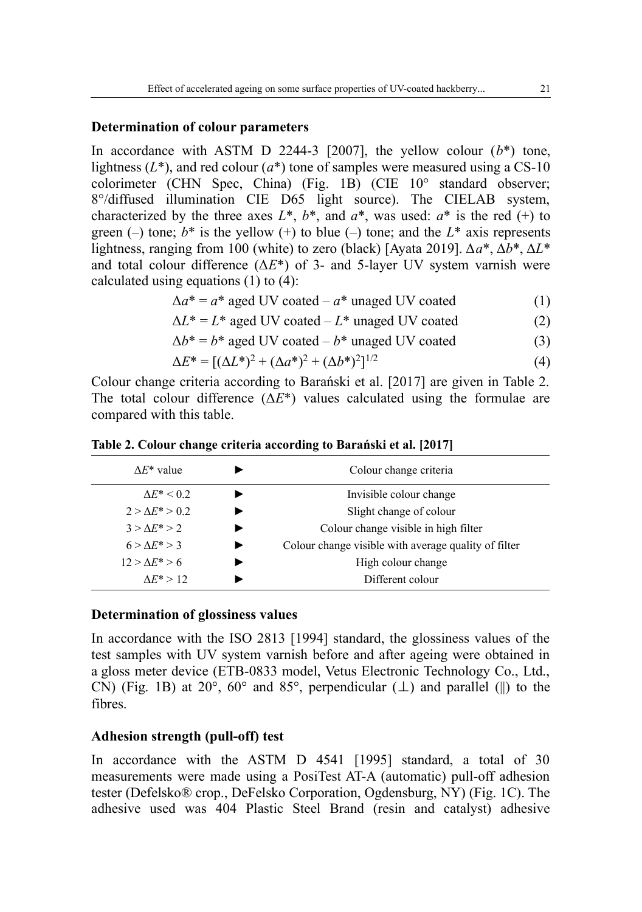#### **Determination of colour parameters**

In accordance with ASTM D 2244-3 [2007], the yellow colour  $(b^*)$  tone, lightness  $(L^*)$ , and red colour  $(a^*)$  tone of samples were measured using a CS-10 colorimeter (CHN Spec, China) (Fig. 1B) (CIE 10° standard observer; 8°/diffused illumination CIE D65 light source). The CIELAB system, characterized by the three axes  $L^*$ ,  $b^*$ , and  $a^*$ , was used:  $a^*$  is the red (+) to green (–) tone;  $b^*$  is the yellow (+) to blue (–) tone; and the  $L^*$  axis represents lightness, ranging from 100 (white) to zero (black) [Ayata 2019]. Δ*a*\*, Δ*b*\*, Δ*L*\* and total colour difference (Δ*E*\*) of 3- and 5-layer UV system varnish were calculated using equations (1) to (4):

 $\Delta a^* = a^*$  aged UV coated –  $a^*$  unaged UV coated (1)

$$
\Delta L^* = L^* \text{ aged UV coated} - L^* \text{ unaged UV coated}
$$
 (2)

$$
\Delta b^* = b^* \text{ aged UV coated} - b^* \text{ unaged UV coated} \tag{3}
$$

$$
\Delta E^* = [(\Delta L^*)^2 + (\Delta a^*)^2 + (\Delta b^*)^2]^{1/2} \tag{4}
$$

Colour change criteria according to Barański et al. [2017] are given in Table 2. The total colour difference (Δ*E*\*) values calculated using the formulae are compared with this table.

**Table 2. Colour change criteria according to Barański et al. [2017]**

| $\Delta E^*$ value      | Colour change criteria                               |
|-------------------------|------------------------------------------------------|
| $\Delta E^*$ < 0.2      | Invisible colour change                              |
| $2 > \Lambda E^* > 0.2$ | Slight change of colour                              |
| $3 > \Lambda E^* > 2$   | Colour change visible in high filter                 |
| $6 > \Lambda E^* > 3$   | Colour change visible with average quality of filter |
| $12 > \Lambda E^* > 6$  | High colour change                                   |
| $\Lambda E^* > 12$      | Different colour                                     |

#### **Determination of glossiness values**

In accordance with the ISO 2813 [1994] standard, the glossiness values of the test samples with UV system varnish before and after ageing were obtained in a gloss meter device (ETB-0833 model, Vetus Electronic Technology Co., Ltd., CN) (Fig. 1B) at 20 $^{\circ}$ , 60 $^{\circ}$  and 85 $^{\circ}$ , perpendicular ( $\perp$ ) and parallel (||) to the fibres.

## **Adhesion strength (pull-off) test**

In accordance with the ASTM D 4541 [1995] standard, a total of 30 measurements were made using a PosiTest AT-A (automatic) pull-off adhesion tester (Defelsko® crop., DeFelsko Corporation, Ogdensburg, NY) (Fig. 1C). The adhesive used was 404 Plastic Steel Brand (resin and catalyst) adhesive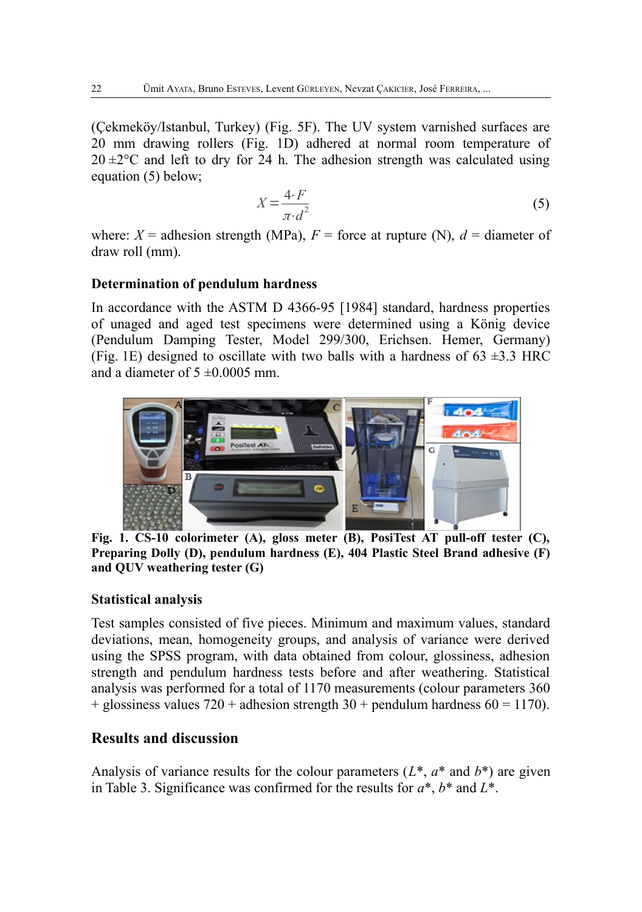(Çekmeköy/Istanbul, Turkey) (Fig. 5F). The UV system varnished surfaces are 20 mm drawing rollers (Fig. 1D) adhered at normal room temperature of  $20 \pm 2^{\circ}$ C and left to dry for 24 h. The adhesion strength was calculated using equation (5) below;

$$
X = \frac{4 \cdot F}{\pi \cdot d^2} \tag{5}
$$

where:  $X =$  adhesion strength (MPa),  $F =$  force at rupture (N),  $d =$  diameter of draw roll (mm).

### **Determination of pendulum hardness**

In accordance with the ASTM D 4366-95 [1984] standard, hardness properties of unaged and aged test specimens were determined using a König device (Pendulum Damping Tester, Model 299/300, Erichsen. Hemer, Germany) (Fig. 1E) designed to oscillate with two balls with a hardness of  $63 \pm 3.3$  HRC and a diameter of  $5 \pm 0.0005$  mm.



**Fig. 1. CS-10 colorimeter (A), gloss meter (B), PosiTest AT pull-off tester (C), Preparing Dolly (D), pendulum hardness (E), 404 Plastic Steel Brand adhesive (F) and QUV weathering tester (G)**

#### **Statistical analysis**

Test samples consisted of five pieces. Minimum and maximum values, standard deviations, mean, homogeneity groups, and analysis of variance were derived using the SPSS program, with data obtained from colour, glossiness, adhesion strength and pendulum hardness tests before and after weathering. Statistical analysis was performed for a total of 1170 measurements (colour parameters 360 + glossiness values  $720 +$  adhesion strength  $30 +$  pendulum hardness  $60 = 1170$ .

## **Results and discussion**

Analysis of variance results for the colour parameters (*L*\*, *a*\* and *b*\*) are given in Table 3. Significance was confirmed for the results for *a*\*, *b*\* and *L*\*.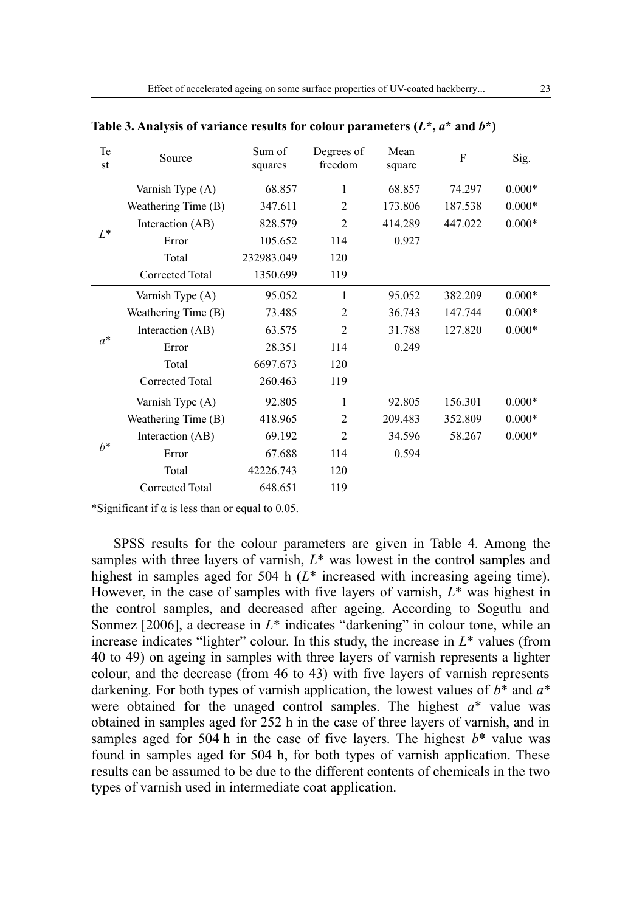| Te<br>st | Source              | Sum of<br>squares | Degrees of<br>freedom | Mean<br>square | F       | Sig.     |
|----------|---------------------|-------------------|-----------------------|----------------|---------|----------|
|          | Varnish Type (A)    | 68.857            | 1                     | 68.857         | 74.297  | $0.000*$ |
|          | Weathering Time (B) | 347.611           | $\overline{2}$        | 173.806        | 187.538 | $0.000*$ |
| $L^*$    | Interaction (AB)    | 828.579           | $\overline{2}$        | 414.289        | 447.022 | $0.000*$ |
|          | Error               | 105.652           | 114                   | 0.927          |         |          |
|          | Total               | 232983.049        | 120                   |                |         |          |
|          | Corrected Total     | 1350.699          | 119                   |                |         |          |
|          | Varnish Type (A)    | 95.052            | 1                     | 95.052         | 382.209 | $0.000*$ |
|          | Weathering Time (B) | 73.485            | $\mathfrak{D}$        | 36.743         | 147.744 | $0.000*$ |
|          | Interaction (AB)    | 63.575            | $\mathfrak{D}$        | 31.788         | 127.820 | $0.000*$ |
| $a^*$    | Error               | 28.351            | 114                   | 0.249          |         |          |
|          | Total               | 6697.673          | 120                   |                |         |          |
|          | Corrected Total     | 260.463           | 119                   |                |         |          |
|          | Varnish Type (A)    | 92.805            | 1                     | 92.805         | 156.301 | $0.000*$ |
|          | Weathering Time (B) | 418.965           | $\overline{2}$        | 209.483        | 352.809 | $0.000*$ |
|          | Interaction (AB)    | 69.192            | $\mathfrak{D}$        | 34.596         | 58.267  | $0.000*$ |
| $h^*$    | Error               | 67.688            | 114                   | 0.594          |         |          |
|          | Total               | 42226.743         | 120                   |                |         |          |
|          | Corrected Total     | 648.651           | 119                   |                |         |          |

**Table 3. Analysis of variance results for colour parameters (***L***\*,** *a***\* and** *b***\*)**

\*Significant if  $\alpha$  is less than or equal to 0.05.

SPSS results for the colour parameters are given in Table 4. Among the samples with three layers of varnish,  $L^*$  was lowest in the control samples and highest in samples aged for 504 h ( $L^*$  increased with increasing ageing time). However, in the case of samples with five layers of varnish, *L*\* was highest in the control samples, and decreased after ageing. According to Sogutlu and Sonmez [2006], a decrease in  $L^*$  indicates "darkening" in colour tone, while an increase indicates "lighter" colour. In this study, the increase in *L*\* values (from 40 to 49) on ageing in samples with three layers of varnish represents a lighter colour, and the decrease (from 46 to 43) with five layers of varnish represents darkening. For both types of varnish application, the lowest values of *b*\* and *a*\* were obtained for the unaged control samples. The highest *a*\* value was obtained in samples aged for 252 h in the case of three layers of varnish, and in samples aged for 504 h in the case of five layers. The highest *b*\* value was found in samples aged for 504 h, for both types of varnish application. These results can be assumed to be due to the different contents of chemicals in the two types of varnish used in intermediate coat application.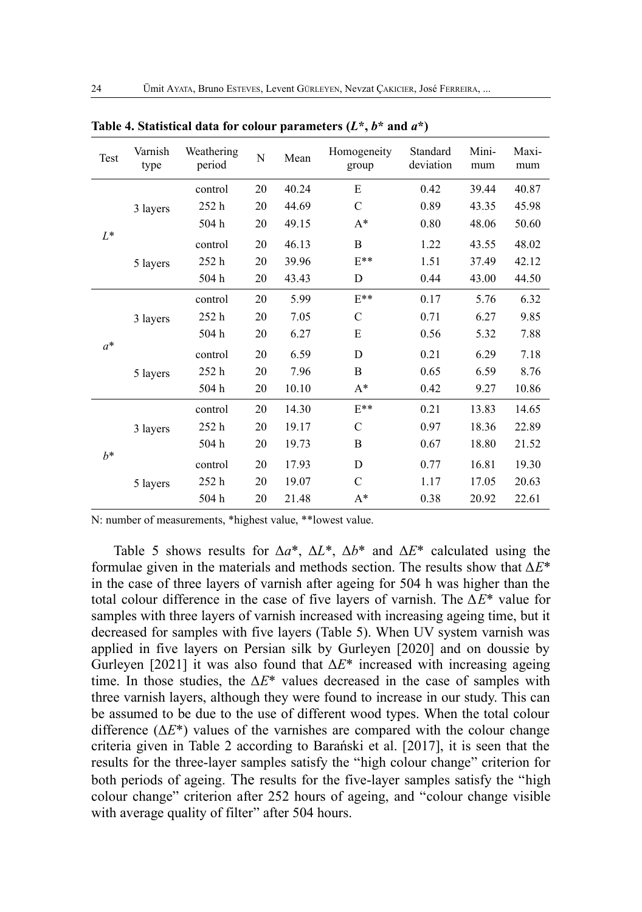| Test  | Varnish<br>type | Weathering<br>period | N  | Mean  | Homogeneity<br>group | Standard<br>deviation | Mini-<br>mum | Maxi-<br>mum |
|-------|-----------------|----------------------|----|-------|----------------------|-----------------------|--------------|--------------|
|       |                 | control              | 20 | 40.24 | E                    | 0.42                  | 39.44        | 40.87        |
|       | 3 layers        | 252 <sub>h</sub>     | 20 | 44.69 | $\mathcal{C}$        | 0.89                  | 43.35        | 45.98        |
|       |                 | 504h                 | 20 | 49.15 | $A^*$                | 0.80                  | 48.06        | 50.60        |
| $L^*$ |                 | control              | 20 | 46.13 | $\overline{B}$       | 1.22                  | 43.55        | 48.02        |
|       | 5 layers        | 252 <sub>h</sub>     | 20 | 39.96 | $E^{**}$             | 1.51                  | 37.49        | 42.12        |
|       |                 | 504h                 | 20 | 43.43 | D                    | 0.44                  | 43.00        | 44.50        |
|       | 3 layers        | control              | 20 | 5.99  | $E^{**}$             | 0.17                  | 5.76         | 6.32         |
|       |                 | 252 <sub>h</sub>     | 20 | 7.05  | C                    | 0.71                  | 6.27         | 9.85         |
|       |                 | 504h                 | 20 | 6.27  | E                    | 0.56                  | 5.32         | 7.88         |
| $a^*$ |                 | control              | 20 | 6.59  | D                    | 0.21                  | 6.29         | 7.18         |
|       | 5 layers        | 252 <sub>h</sub>     | 20 | 7.96  | $\overline{B}$       | 0.65                  | 6.59         | 8.76         |
|       |                 | 504 h                | 20 | 10.10 | $A^*$                | 0.42                  | 9.27         | 10.86        |
|       |                 | control              | 20 | 14.30 | $E**$                | 0.21                  | 13.83        | 14.65        |
|       | 3 layers        | 252h                 | 20 | 19.17 | $\mathcal{C}$        | 0.97                  | 18.36        | 22.89        |
| $h^*$ |                 | 504h                 | 20 | 19.73 | B                    | 0.67                  | 18.80        | 21.52        |
|       |                 | control              | 20 | 17.93 | D                    | 0.77                  | 16.81        | 19.30        |
|       | 5 layers        | 252 <sub>h</sub>     | 20 | 19.07 | $\mathcal{C}$        | 1.17                  | 17.05        | 20.63        |
|       |                 | 504h                 | 20 | 21.48 | $A^*$                | 0.38                  | 20.92        | 22.61        |

Table 4. Statistical data for colour parameters  $(L^*, b^*$  and  $a^*)$ 

N: number of measurements, \*highest value, \*\*lowest value.

Table 5 shows results for Δ*a*\*, Δ*L*\*, Δ*b*\* and Δ*E*\* calculated using the formulae given in the materials and methods section. The results show that Δ*E*\* in the case of three layers of varnish after ageing for 504 h was higher than the total colour difference in the case of five layers of varnish. The Δ*E*\* value for samples with three layers of varnish increased with increasing ageing time, but it decreased for samples with five layers (Table 5). When UV system varnish was applied in five layers on Persian silk by Gurleyen [2020] and on doussie by Gurleyen [2021] it was also found that Δ*E*\* increased with increasing ageing time. In those studies, the Δ*E*\* values decreased in the case of samples with three varnish layers, although they were found to increase in our study. This can be assumed to be due to the use of different wood types. When the total colour difference  $(\Delta E^*)$  values of the varnishes are compared with the colour change criteria given in Table 2 according to Barański et al. [2017], it is seen that the results for the three-layer samples satisfy the "high colour change" criterion for both periods of ageing. The results for the five-layer samples satisfy the "high colour change" criterion after 252 hours of ageing, and "colour change visible with average quality of filter" after 504 hours.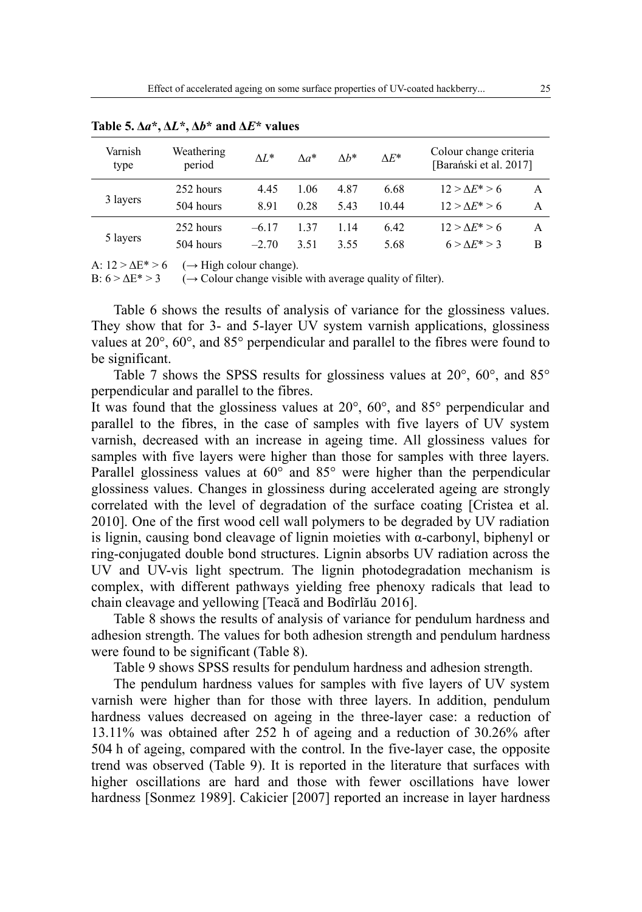| Varnish<br>type | Weathering<br>period | $\Delta L^*$ | $\Lambda a^*$ | $\Lambda h^*$ | $\Delta E^*$ | Colour change criteria<br>[Barański et al. 2017] |   |
|-----------------|----------------------|--------------|---------------|---------------|--------------|--------------------------------------------------|---|
| 3 layers        | 252 hours            | 4.45         | 1.06          | 4.87          | 6.68         | $12 > \Lambda E^* > 6$                           | A |
|                 | 504 hours            | 8.91         | 0.28          | 5.43          | 10.44        | $12 > \Lambda E^* > 6$                           | A |
| 5 layers        | 252 hours            | $-617$       | 137           | 1.14          | 6.42         | $12 > \Lambda E^* > 6$                           | A |
|                 | 504 hours            | $-2.70$      | 3.51          | 3.55          | 5.68         | $6 > \Delta E^* > 3$                             | B |

**Table 5. Δ***a***\*, Δ***L***\*, Δ***b***\* and Δ***E***\* values**

A:  $12 > \Delta E^* > 6$  ( $\rightarrow$  High colour change).

B:  $6 > \Delta E^* > 3$  ( $\rightarrow$  Colour change visible with average quality of filter).

Table 6 shows the results of analysis of variance for the glossiness values. They show that for 3- and 5-layer UV system varnish applications, glossiness values at 20°, 60°, and 85° perpendicular and parallel to the fibres were found to be significant.

Table 7 shows the SPSS results for glossiness values at 20°, 60°, and 85° perpendicular and parallel to the fibres.

It was found that the glossiness values at 20°, 60°, and 85° perpendicular and parallel to the fibres, in the case of samples with five layers of UV system varnish, decreased with an increase in ageing time. All glossiness values for samples with five layers were higher than those for samples with three layers. Parallel glossiness values at 60° and 85° were higher than the perpendicular glossiness values. Changes in glossiness during accelerated ageing are strongly correlated with the level of degradation of the surface coating [Cristea et al. 2010]. One of the first wood cell wall polymers to be degraded by UV radiation is lignin, causing bond cleavage of lignin moieties with  $\alpha$ -carbonyl, biphenyl or ring-conjugated double bond structures. Lignin absorbs UV radiation across the UV and UV-vis light spectrum. The lignin photodegradation mechanism is complex, with different pathways yielding free phenoxy radicals that lead to chain cleavage and yellowing [Teacă and Bodîrlău 2016].

Table 8 shows the results of analysis of variance for pendulum hardness and adhesion strength. The values for both adhesion strength and pendulum hardness were found to be significant (Table 8).

Table 9 shows SPSS results for pendulum hardness and adhesion strength.

The pendulum hardness values for samples with five layers of UV system varnish were higher than for those with three layers. In addition, pendulum hardness values decreased on ageing in the three-layer case: a reduction of 13.11% was obtained after 252 h of ageing and a reduction of 30.26% after 504 h of ageing, compared with the control. In the five-layer case, the opposite trend was observed (Table 9). It is reported in the literature that surfaces with higher oscillations are hard and those with fewer oscillations have lower hardness [Sonmez 1989]. Cakicier [2007] reported an increase in layer hardness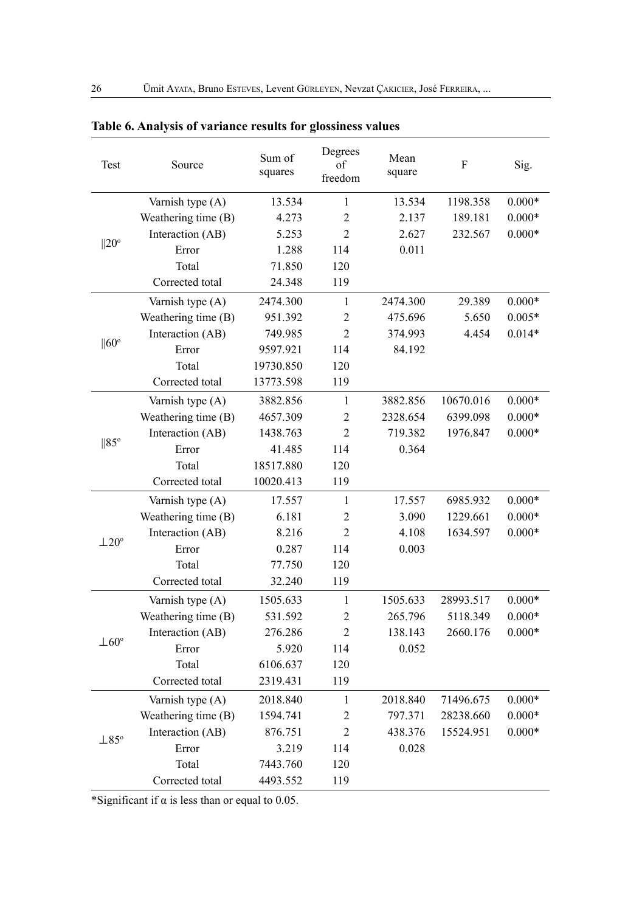| Test                                                                                   | Source              | Sum of<br>squares | Degrees<br>of<br>freedom | Mean<br>square | F         | Sig.     |
|----------------------------------------------------------------------------------------|---------------------|-------------------|--------------------------|----------------|-----------|----------|
|                                                                                        | Varnish type (A)    | 13.534            | $\mathbf{1}$             | 13.534         | 1198.358  | $0.000*$ |
| $  20^\circ$                                                                           | Weathering time (B) | 4.273             | $\overline{2}$           | 2.137          | 189.181   | $0.000*$ |
|                                                                                        | Interaction (AB)    | 5.253             | $\overline{c}$           | 2.627          | 232.567   | $0.000*$ |
|                                                                                        | Error               | 1.288             | 114                      | 0.011          |           |          |
|                                                                                        | Total               | 71.850            | 120                      |                |           |          |
| $  60^\circ$<br>$  85^\circ$<br>$\pm 20^{\circ}$<br>$\pm 60^\circ$<br>$\perp 85^\circ$ | Corrected total     | 24.348            | 119                      |                |           |          |
|                                                                                        | Varnish type (A)    | 2474.300          | 1                        | 2474.300       | 29.389    | $0.000*$ |
|                                                                                        | Weathering time (B) | 951.392           | $\overline{2}$           | 475.696        | 5.650     | $0.005*$ |
|                                                                                        | Interaction (AB)    | 749.985           | $\overline{2}$           | 374.993        | 4.454     | $0.014*$ |
|                                                                                        | Error               | 9597.921          | 114                      | 84.192         |           |          |
|                                                                                        | Total               | 19730.850         | 120                      |                |           |          |
|                                                                                        | Corrected total     | 13773.598         | 119                      |                |           |          |
|                                                                                        | Varnish type (A)    | 3882.856          | 1                        | 3882.856       | 10670.016 | $0.000*$ |
|                                                                                        | Weathering time (B) | 4657.309          | $\overline{c}$           | 2328.654       | 6399.098  | $0.000*$ |
|                                                                                        | Interaction (AB)    | 1438.763          | $\overline{c}$           | 719.382        | 1976.847  | $0.000*$ |
|                                                                                        | Error               | 41.485            | 114                      | 0.364          |           |          |
|                                                                                        | Total               | 18517.880         | 120                      |                |           |          |
|                                                                                        | Corrected total     | 10020.413         | 119                      |                |           |          |
|                                                                                        | Varnish type (A)    | 17.557            | $\mathbf{1}$             | 17.557         | 6985.932  | $0.000*$ |
|                                                                                        | Weathering time (B) | 6.181             | $\overline{c}$           | 3.090          | 1229.661  | $0.000*$ |
|                                                                                        | Interaction (AB)    | 8.216             | 2                        | 4.108          | 1634.597  | $0.000*$ |
|                                                                                        | Error               | 0.287             | 114                      | 0.003          |           |          |
|                                                                                        | Total               | 77.750            | 120                      |                |           |          |
|                                                                                        | Corrected total     | 32.240            | 119                      |                |           |          |
|                                                                                        | Varnish type (A)    | 1505.633          | $\mathbf{1}$             | 1505.633       | 28993.517 | $0.000*$ |
|                                                                                        | Weathering time (B) | 531.592           | $\overline{2}$           | 265.796        | 5118.349  | $0.000*$ |
|                                                                                        | Interaction (AB)    | 276.286           | $\overline{2}$           | 138.143        | 2660.176  | $0.000*$ |
|                                                                                        | Error               | 5.920             | 114                      | 0.052          |           |          |
|                                                                                        | Total               | 6106.637          | 120                      |                |           |          |
|                                                                                        | Corrected total     | 2319.431          | 119                      |                |           |          |
|                                                                                        | Varnish type (A)    | 2018.840          | $\mathbf{1}$             | 2018.840       | 71496.675 | $0.000*$ |
|                                                                                        | Weathering time (B) | 1594.741          | $\overline{c}$           | 797.371        | 28238.660 | $0.000*$ |
|                                                                                        | Interaction (AB)    | 876.751           | $\overline{2}$           | 438.376        | 15524.951 | $0.000*$ |
|                                                                                        | Error               | 3.219             | 114                      | 0.028          |           |          |
|                                                                                        | Total               | 7443.760          | 120                      |                |           |          |
|                                                                                        | Corrected total     | 4493.552          | 119                      |                |           |          |

# **Table 6. Analysis of variance results for glossiness values**

\*Significant if  $\alpha$  is less than or equal to 0.05.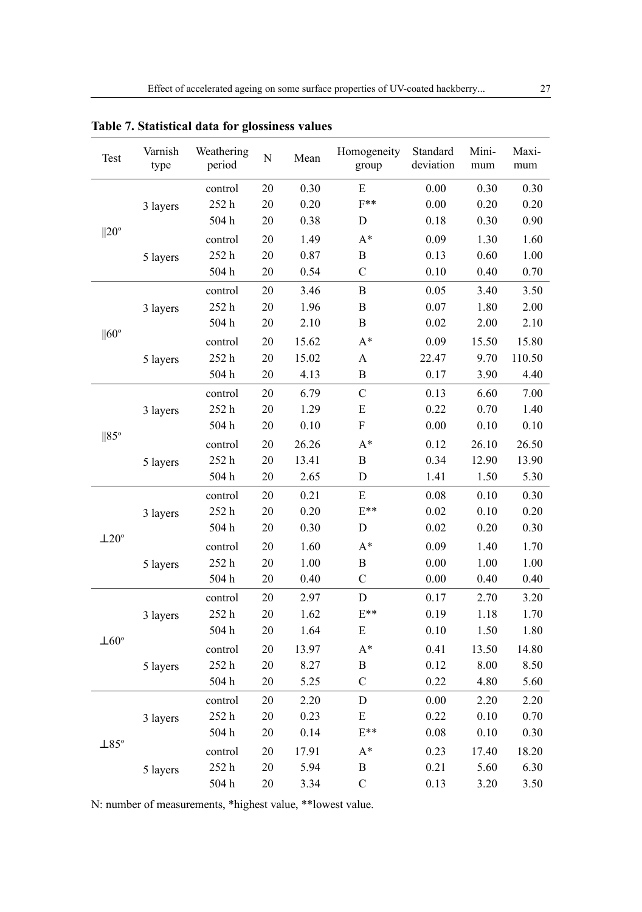| Test           | Varnish<br>type | Weathering<br>period | $\overline{N}$ | Mean     | Homogeneity<br>group      | Standard<br>deviation | Mini-<br>mum | Maxi-<br>mum |
|----------------|-----------------|----------------------|----------------|----------|---------------------------|-----------------------|--------------|--------------|
|                |                 | control              | 20             | 0.30     | E                         | $0.00\,$              | 0.30         | 0.30         |
| $  20^{\circ}$ | 3 layers        | 252h                 | 20             | 0.20     | $F^{**}$                  | 0.00                  | 0.20         | 0.20         |
|                |                 | 504h                 | 20             | 0.38     | D                         | 0.18                  | 0.30         | 0.90         |
|                |                 | control              | 20             | 1.49     | $A^*$                     | 0.09                  | 1.30         | 1.60         |
|                | 5 layers        | 252h                 | 20             | 0.87     | B                         | 0.13                  | 0.60         | 1.00         |
|                |                 | 504h                 | 20             | 0.54     | $\mathcal{C}$             | 0.10                  | 0.40         | 0.70         |
|                |                 | control              | 20             | 3.46     | $\, {\bf B}$              | 0.05                  | 3.40         | 3.50         |
|                | 3 layers        | $252\ \mathrm{h}$    | $20\,$         | 1.96     | $\, {\bf B}$              | $0.07\,$              | 1.80         | 2.00         |
|                |                 | 504h                 | $20\,$         | 2.10     | B                         | 0.02                  | 2.00         | 2.10         |
| $  60^{\circ}$ |                 | control              | $20\,$         | 15.62    | $A^*$                     | 0.09                  | 15.50        | 15.80        |
|                | 5 layers        | 252h                 | 20             | 15.02    | $\boldsymbol{\mathsf{A}}$ | 22.47                 | 9.70         | 110.50       |
|                |                 | 504h                 | 20             | 4.13     | B                         | 0.17                  | 3.90         | 4.40         |
|                |                 | control              | 20             | 6.79     | $\mathcal{C}$             | 0.13                  | 6.60         | 7.00         |
|                | 3 layers        | 252h                 | 20             | 1.29     | ${\bf E}$                 | 0.22                  | 0.70         | 1.40         |
|                |                 | $504\ \mathrm{h}$    | 20             | $0.10\,$ | ${\bf F}$                 | $0.00\,$              | $0.10\,$     | 0.10         |
| $  85^\circ$   | 5 layers        | control              | 20             | 26.26    | $A^*$                     | 0.12                  | 26.10        | 26.50        |
|                |                 | 252h                 | 20             | 13.41    | $\, {\bf B}$              | 0.34                  | 12.90        | 13.90        |
|                |                 | 504h                 | 20             | 2.65     | D                         | 1.41                  | 1.50         | 5.30         |
|                | 3 layers        | control              | 20             | 0.21     | ${\bf E}$                 | 0.08                  | 0.10         | 0.30         |
|                |                 | 252h                 | 20             | 0.20     | $E^{**}$                  | 0.02                  | 0.10         | 0.20         |
|                |                 | 504h                 | $20\,$         | 0.30     | ${\rm D}$                 | 0.02                  | 0.20         | 0.30         |
| $\pm 20^\circ$ |                 | control              | 20             | 1.60     | $A^*$                     | 0.09                  | 1.40         | 1.70         |
|                | 5 layers        | 252h                 | 20             | 1.00     | $\, {\bf B}$              | 0.00                  | 1.00         | 1.00         |
|                |                 | $504\ \mathrm{h}$    | 20             | $0.40\,$ | $\mathbf C$               | $0.00\,$              | 0.40         | 0.40         |
|                |                 | control              | 20             | 2.97     | $\overline{D}$            | 0.17                  | 2.70         | 3.20         |
|                | 3 layers        | 252h                 | $20\,$         | 1.62     | $E^{**}$                  | 0.19                  | 1.18         | 1.70         |
|                |                 | 504h                 | $20\,$         | 1.64     | ${\bf E}$                 | 0.10                  | 1.50         | 1.80         |
| $\pm 60^\circ$ |                 | control              | 20             | 13.97    | $A^*$                     | 0.41                  | 13.50        | 14.80        |
|                | 5 layers        | 252h                 | 20             | 8.27     | $\, {\bf B}$              | 0.12                  | 8.00         | 8.50         |
|                |                 | 504h                 | 20             | 5.25     | $\overline{C}$            | 0.22                  | 4.80         | 5.60         |
|                |                 | control              | $20\,$         | 2.20     | $\mathbf D$               | 0.00                  | 2.20         | 2.20         |
|                | 3 layers        | 252h                 | $20\,$         | 0.23     | ${\bf E}$                 | 0.22                  | 0.10         | 0.70         |
|                |                 | 504h                 | 20             | 0.14     | $E^{**}$                  | $0.08\,$              | 0.10         | 0.30         |
| $\perp$ 85°    |                 | control              | $20\,$         | 17.91    | $A^*$                     | 0.23                  | 17.40        | 18.20        |
|                | 5 layers        | 252h                 | 20             | 5.94     | $\, {\bf B}$              | 0.21                  | 5.60         | 6.30         |
|                |                 | 504h                 | 20             | 3.34     | $\mathbf C$               | 0.13                  | 3.20         | 3.50         |

**Table 7. Statistical data for glossiness values**

N: number of measurements, \*highest value, \*\*lowest value.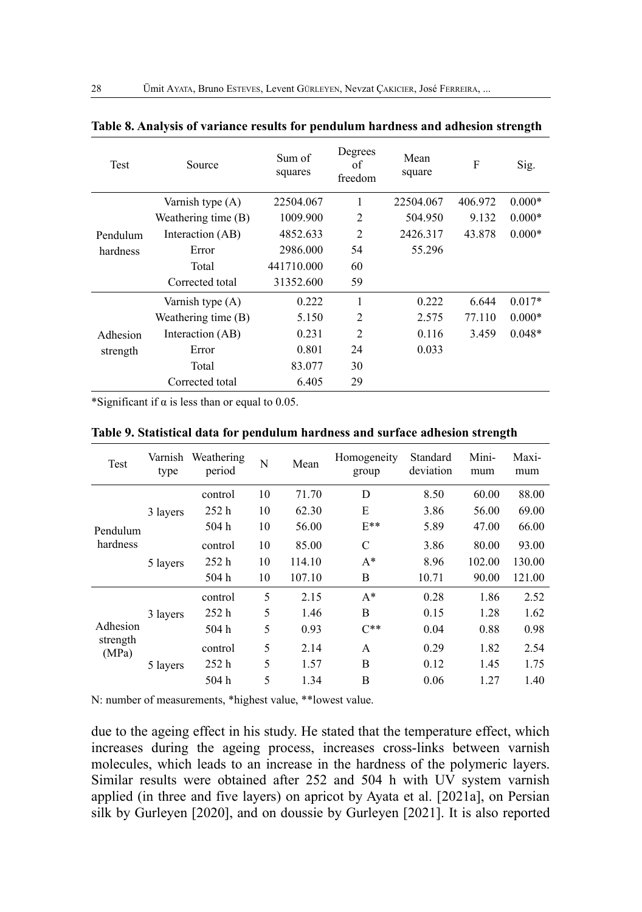| Test     | Source                | Sum of<br>squares | Degrees<br>οf<br>freedom | Mean<br>square | F       | Sig.     |
|----------|-----------------------|-------------------|--------------------------|----------------|---------|----------|
|          | Varnish type (A)      | 22504.067         | 1                        | 22504.067      | 406.972 | $0.000*$ |
|          | Weathering time $(B)$ | 1009.900          | $\overline{2}$           | 504.950        | 9.132   | $0.000*$ |
| Pendulum | Interaction (AB)      | 4852.633          | $\overline{2}$           | 2426.317       | 43.878  | $0.000*$ |
| hardness | Error                 | 2986.000          | 54                       | 55.296         |         |          |
|          | Total                 | 441710.000        | 60                       |                |         |          |
|          | Corrected total       | 31352.600         | 59                       |                |         |          |
|          | Varnish type (A)      | 0.222             | 1                        | 0.222          | 6.644   | $0.017*$ |
|          | Weathering time $(B)$ | 5.150             | 2                        | 2.575          | 77.110  | $0.000*$ |
| Adhesion | Interaction (AB)      | 0.231             | $\overline{2}$           | 0.116          | 3.459   | $0.048*$ |
| strength | Error                 | 0.801             | 24                       | 0.033          |         |          |
|          | Total                 | 83.077            | 30                       |                |         |          |
|          | Corrected total       | 6.405             | 29                       |                |         |          |

#### **Table 8. Analysis of variance results for pendulum hardness and adhesion strength**

\*Significant if  $\alpha$  is less than or equal to 0.05.

| <b>Test</b>                   | Varnish<br>type | Weathering<br>period | N  | Mean   | Homogeneity<br>group | Standard<br>deviation | Mini-<br>mum | Maxi-<br>mum |
|-------------------------------|-----------------|----------------------|----|--------|----------------------|-----------------------|--------------|--------------|
|                               |                 | control              | 10 | 71.70  | D                    | 8.50                  | 60.00        | 88.00        |
|                               | 3 layers        | 252h                 | 10 | 62.30  | E                    | 3.86                  | 56.00        | 69.00        |
| Pendulum                      |                 | 504 h                | 10 | 56.00  | $E^{**}$             | 5.89                  | 47.00        | 66.00        |
| hardness                      | 5 layers        | control              | 10 | 85.00  | $\mathcal{C}$        | 3.86                  | 80.00        | 93.00        |
|                               |                 | 252h                 | 10 | 114.10 | $A^*$                | 8.96                  | 102.00       | 130.00       |
|                               |                 | 504 h                | 10 | 107.10 | B                    | 10.71                 | 90.00        | 121.00       |
|                               |                 | control              | 5  | 2.15   | $A^*$                | 0.28                  | 1.86         | 2.52         |
|                               | 3 layers        | 252h                 | 5  | 1.46   | B                    | 0.15                  | 1.28         | 1.62         |
| Adhesion<br>strength<br>(MPa) |                 | 504 h                | 5  | 0.93   | $C^{**}$             | 0.04                  | 0.88         | 0.98         |
|                               |                 | control              | 5  | 2.14   | A                    | 0.29                  | 1.82         | 2.54         |
|                               | 5 layers        | 252h                 | 5  | 1.57   | B                    | 0.12                  | 1.45         | 1.75         |
|                               |                 | 504 h                | 5  | 1.34   | B                    | 0.06                  | 1.27         | 1.40         |

**Table 9. Statistical data for pendulum hardness and surface adhesion strength** 

N: number of measurements, \*highest value, \*\*lowest value.

due to the ageing effect in his study. He stated that the temperature effect, which increases during the ageing process, increases cross-links between varnish molecules, which leads to an increase in the hardness of the polymeric layers. Similar results were obtained after  $252$  and  $504$  h with  $U\overrightarrow{V}$  system varnish applied (in three and five layers) on apricot by Ayata et al. [2021a], on Persian silk by Gurleyen [2020], and on doussie by Gurleyen [2021]. It is also reported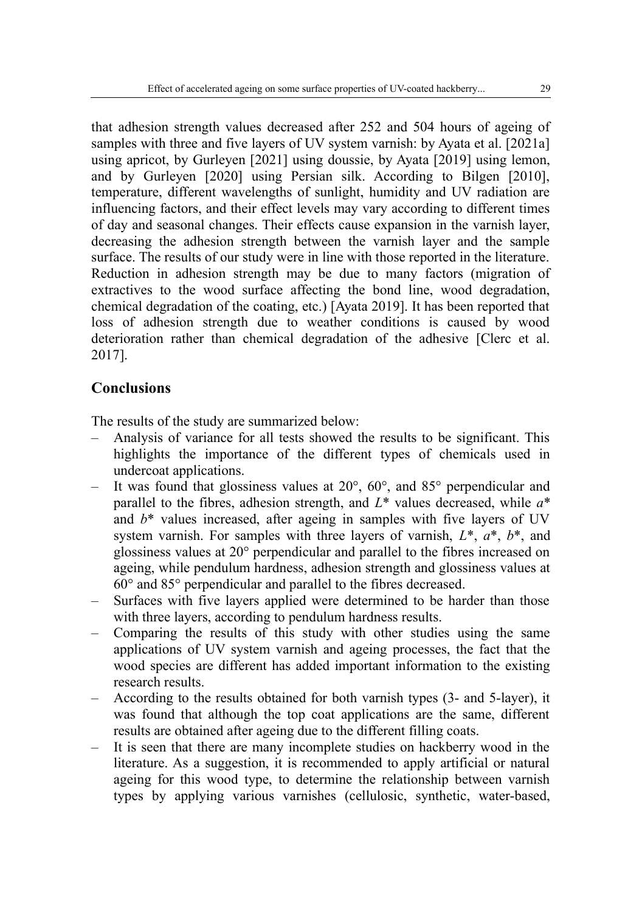that adhesion strength values decreased after 252 and 504 hours of ageing of samples with three and five layers of UV system varnish: by Ayata et al. [2021a] using apricot, by Gurleyen [2021] using doussie, by Ayata [2019] using lemon, and by Gurleyen [2020] using Persian silk. According to Bilgen [2010], temperature, different wavelengths of sunlight, humidity and UV radiation are influencing factors, and their effect levels may vary according to different times of day and seasonal changes. Their effects cause expansion in the varnish layer, decreasing the adhesion strength between the varnish layer and the sample surface. The results of our study were in line with those reported in the literature. Reduction in adhesion strength may be due to many factors (migration of extractives to the wood surface affecting the bond line, wood degradation, chemical degradation of the coating, etc.) [Ayata 2019]. It has been reported that loss of adhesion strength due to weather conditions is caused by wood deterioration rather than chemical degradation of the adhesive [Clerc et al. 2017].

# **Conclusions**

The results of the study are summarized below:

- Analysis of variance for all tests showed the results to be significant. This highlights the importance of the different types of chemicals used in undercoat applications.
- It was found that glossiness values at  $20^{\circ}$ ,  $60^{\circ}$ , and  $85^{\circ}$  perpendicular and parallel to the fibres, adhesion strength, and *L*\* values decreased, while *a*\* and  $b^*$  values increased, after ageing in samples with five layers of UV system varnish. For samples with three layers of varnish, *L*\*, *a*\*, *b*\*, and glossiness values at 20° perpendicular and parallel to the fibres increased on ageing, while pendulum hardness, adhesion strength and glossiness values at 60° and 85° perpendicular and parallel to the fibres decreased.
- Surfaces with five layers applied were determined to be harder than those with three layers, according to pendulum hardness results.
- Comparing the results of this study with other studies using the same applications of UV system varnish and ageing processes, the fact that the wood species are different has added important information to the existing research results.
- According to the results obtained for both varnish types (3- and 5-layer), it was found that although the top coat applications are the same, different results are obtained after ageing due to the different filling coats.
- It is seen that there are many incomplete studies on hackberry wood in the literature. As a suggestion, it is recommended to apply artificial or natural ageing for this wood type, to determine the relationship between varnish types by applying various varnishes (cellulosic, synthetic, water-based,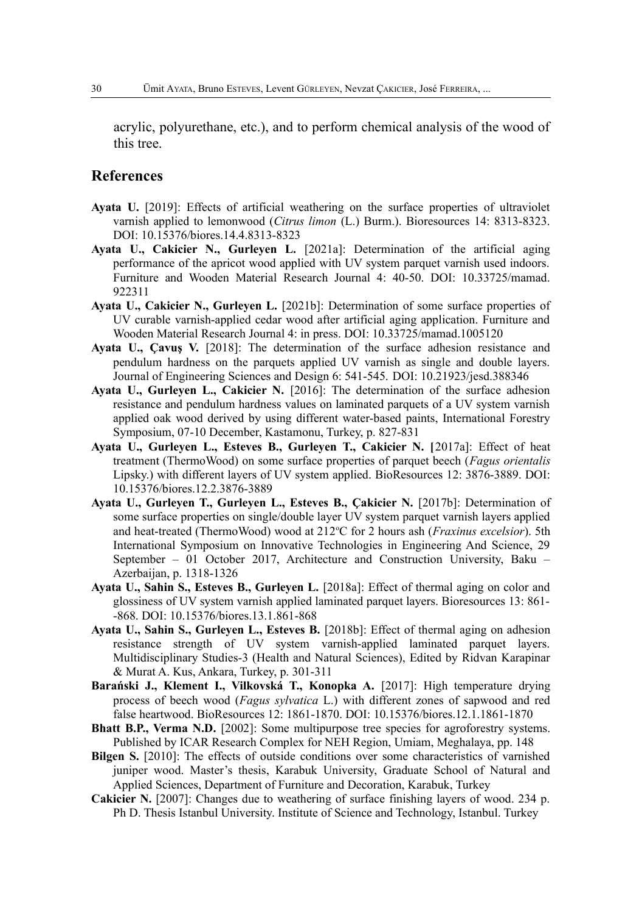acrylic, polyurethane, etc.), and to perform chemical analysis of the wood of this tree.

## **References**

- **Ayata U.** [2019]: Effects of artificial weathering on the surface properties of ultraviolet varnish applied to lemonwood (*Citrus limon* (L.) Burm.). Bioresources 14: 8313-8323. DOI: 10.15376/biores.14.4.8313-8323
- **Ayata U., Cakicier N., Gurleyen L.** [2021a]: Determination of the artificial aging performance of the apricot wood applied with UV system parquet varnish used indoors. Furniture and Wooden Material Research Journal 4: 40-50. DOI: 10.33725/mamad. 922311
- **Ayata U., Cakicier N., Gurleyen L.** [2021b]: Determination of some surface properties of UV curable varnish-applied cedar wood after artificial aging application. Furniture and Wooden Material Research Journal 4: in press. DOI: 10.33725/mamad.1005120
- **Ayata U., Çavuş V.** [2018]: The determination of the surface adhesion resistance and pendulum hardness on the parquets applied UV varnish as single and double layers. Journal of Engineering Sciences and Design 6: 541-545. DOI: 10.21923/jesd.388346
- **Ayata U., Gurleyen L., Cakicier N.** [2016]: The determination of the surface adhesion resistance and pendulum hardness values on laminated parquets of a UV system varnish applied oak wood derived by using different water-based paints, International Forestry Symposium, 07-10 December, Kastamonu, Turkey, p. 827-831
- **Ayata U., Gurleyen L., Esteves B., Gurleyen T., Cakicier N. [**2017a]: Effect of heat treatment (ThermoWood) on some surface properties of parquet beech (*Fagus orientalis* Lipsky.) with different layers of UV system applied. BioResources 12: 3876-3889. DOI: 10.15376/biores.12.2.3876-3889
- **Ayata U., Gurleyen T., Gurleyen L., Esteves B., Çakicier N.** [2017b]: Determination of some surface properties on single/double layer UV system parquet varnish layers applied and heat-treated (ThermoWood) wood at 212°C for 2 hours ash (*Fraxinus excelsior*). 5th International Symposium on Innovative Technologies in Engineering And Science, 29 September – 01 October 2017, Architecture and Construction University, Baku – Azerbaijan, p. 1318-1326
- **Ayata U., Sahin S., Esteves B., Gurleyen L.** [2018a]: Effect of thermal aging on color and glossiness of UV system varnish applied laminated parquet layers. Bioresources 13: 861- -868. DOI: 10.15376/biores.13.1.861-868
- **Ayata U., Sahin S., Gurleyen L., Esteves B.** [2018b]: Effect of thermal aging on adhesion resistance strength of UV system varnish-applied laminated parquet layers. Multidisciplinary Studies-3 (Health and Natural Sciences), Edited by Ridvan Karapinar & Murat A. Kus, Ankara, Turkey, p. 301-311
- **Barański J., Klement I., Vilkovská T., Konopka A.** [2017]: High temperature drying process of beech wood (*Fagus sylvatica* L.) with different zones of sapwood and red false heartwood. BioResources 12: 1861-1870. DOI: 10.15376/biores.12.1.1861-1870
- **Bhatt B.P., Verma N.D.** [2002]: Some multipurpose tree species for agroforestry systems. Published by ICAR Research Complex for NEH Region, Umiam, Meghalaya, pp. 148
- **Bilgen S.** [2010]: The effects of outside conditions over some characteristics of varnished juniper wood. Master's thesis, Karabuk University, Graduate School of Natural and Applied Sciences, Department of Furniture and Decoration, Karabuk, Turkey
- **Cakicier N.** [2007]: Changes due to weathering of surface finishing layers of wood. 234 p. Ph D. Thesis Istanbul University. Institute of Science and Technology, Istanbul. Turkey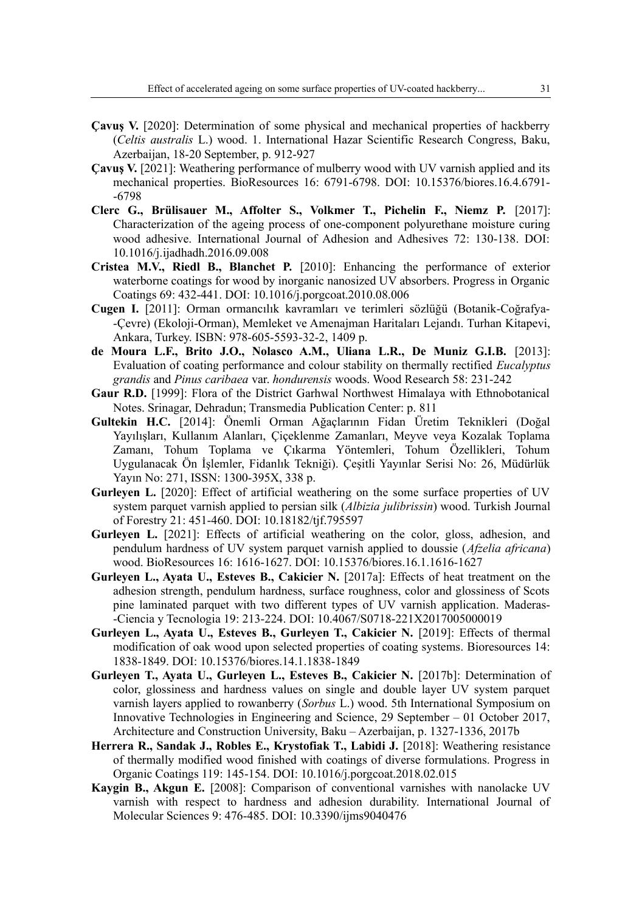- **Çavuş V.** [2020]: Determination of some physical and mechanical properties of hackberry (*Celtis australis* L.) wood. 1. International Hazar Scientific Research Congress, Baku, Azerbaijan, 18-20 September, p. 912-927
- **Çavuş V.** [2021]: Weathering performance of mulberry wood with UV varnish applied and its mechanical properties. BioResources 16: 6791-6798. DOI: 10.15376/biores.16.4.6791- -6798
- **Clerc G., Brülisauer M., Affolter S., Volkmer T., Pichelin F., Niemz P.** [2017]: Characterization of the ageing process of one-component polyurethane moisture curing wood adhesive. International Journal of Adhesion and Adhesives 72: 130-138. DOI: 10.1016/j.ijadhadh.2016.09.008
- **Cristea M.V., Riedl B., Blanchet P.** [2010]: Enhancing the performance of exterior waterborne coatings for wood by inorganic nanosized UV absorbers. Progress in Organic Coatings 69: 432-441. DOI: 10.1016/j.porgcoat.2010.08.006
- **Cugen I.** [2011]: Orman ormancılık kavramları ve terimleri sözlüğü (Botanik-Coğrafya- -Çevre) (Ekoloji-Orman), Memleket ve Amenajman Haritaları Lejandı. Turhan Kitapevi, Ankara, Turkey. ISBN: 978-605-5593-32-2, 1409 p.
- **de Moura L.F., Brito J.O., Nolasco A.M., Uliana L.R., De Muniz G.I.B.** [2013]: Evaluation of coating performance and colour stability on thermally rectified *Eucalyptus grandis* and *Pinus caribaea* var. *hondurensis* woods. Wood Research 58: 231-242
- **Gaur R.D.** [1999]: Flora of the District Garhwal Northwest Himalaya with Ethnobotanical Notes. Srinagar, Dehradun; Transmedia Publication Center: p. 811
- **Gultekin H.C.** [2014]: Önemli Orman Ağaçlarının Fidan Üretim Teknikleri (Doğal Yayılışları, Kullanım Alanları, Çiçeklenme Zamanları, Meyve veya Kozalak Toplama Zamanı, Tohum Toplama ve Çıkarma Yöntemleri, Tohum Özellikleri, Tohum Uygulanacak Ön İşlemler, Fidanlık Tekniği). Çeşitli Yayınlar Serisi No: 26, Müdürlük Yayın No: 271, ISSN: 1300-395X, 338 p.
- **Gurleyen L.** [2020]: Effect of artificial weathering on the some surface properties of UV system parquet varnish applied to persian silk (*Albizia julibrissin*) wood. Turkish Journal of Forestry 21: 451-460. DOI: 10.18182/tjf.795597
- **Gurleyen L.** [2021]: Effects of artificial weathering on the color, gloss, adhesion, and pendulum hardness of UV system parquet varnish applied to doussie (*Afzelia africana*) wood. BioResources 16: 1616-1627. DOI: 10.15376/biores.16.1.1616-1627
- **Gurleyen L., Ayata U., Esteves B., Cakicier N.** [2017a]: Effects of heat treatment on the adhesion strength, pendulum hardness, surface roughness, color and glossiness of Scots pine laminated parquet with two different types of UV varnish application. Maderas- -Ciencia y Tecnologia 19: 213-224. DOI: 10.4067/S0718-221X2017005000019
- **Gurleyen L., Ayata U., Esteves B., Gurleyen T., Cakicier N.** [2019]: Effects of thermal modification of oak wood upon selected properties of coating systems. Bioresources 14: 1838-1849. DOI: 10.15376/biores.14.1.1838-1849
- **Gurleyen T., Ayata U., Gurleyen L., Esteves B., Cakicier N.** [2017b]: Determination of color, glossiness and hardness values on single and double layer UV system parquet varnish layers applied to rowanberry (*Sorbus* L.) wood. 5th International Symposium on Innovative Technologies in Engineering and Science, 29 September – 01 October 2017, Architecture and Construction University, Baku – Azerbaijan, p. 1327-1336, 2017b
- **Herrera R., Sandak J., Robles E., Krystofiak T., Labidi J.** [2018]: Weathering resistance of thermally modified wood finished with coatings of diverse formulations. Progress in Organic Coatings 119: 145-154. DOI: 10.1016/j.porgcoat.2018.02.015
- **Kaygin B., Akgun E.** [2008]: Comparison of conventional varnishes with nanolacke UV varnish with respect to hardness and adhesion durability. International Journal of Molecular Sciences 9: 476-485. DOI: 10.3390/ijms9040476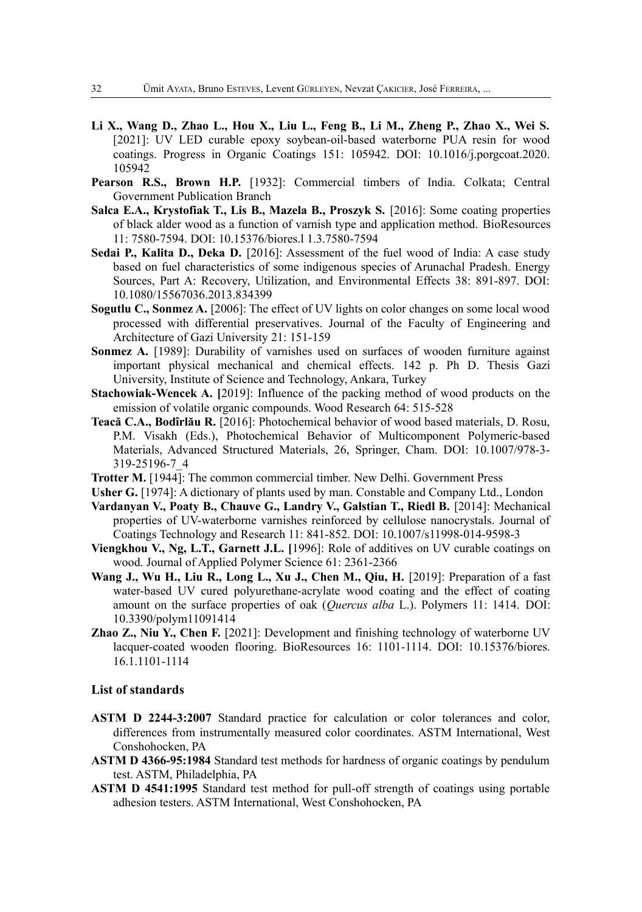- **Li X., Wang D., Zhao L., Hou X., Liu L., Feng B., Li M., Zheng P., Zhao X., Wei S.** [2021]: UV LED curable epoxy soybean-oil-based waterborne PUA resin for wood coatings. Progress in Organic Coatings 151: 105942. DOI: 10.1016/j.porgcoat.2020. 105942
- Pearson R.S., Brown H.P. [1932]: Commercial timbers of India. Colkata; Central Government Publication Branch
- **Salca E.A., Krystofiak T., Lis B., Mazela B., Proszyk S.** [2016]: Some coating properties of black alder wood as a function of varnish type and application method. BioResources 11: 7580-7594. DOI: 10.15376/biores.l 1.3.7580-7594
- **Sedai P., Kalita D., Deka D.** [2016]: Assessment of the fuel wood of India: A case study based on fuel characteristics of some indigenous species of Arunachal Pradesh. Energy Sources, Part A: Recovery, Utilization, and Environmental Effects 38: 891-897. DOI: 10.1080/15567036.2013.834399
- **Sogutlu C., Sonmez A.** [2006]: The effect of UV lights on color changes on some local wood processed with differential preservatives. Journal of the Faculty of Engineering and Architecture of Gazi University 21: 151-159
- **Sonmez A.** [1989]: Durability of varnishes used on surfaces of wooden furniture against important physical mechanical and chemical effects. 142 p. Ph D. Thesis Gazi University, Institute of Science and Technology, Ankara, Turkey
- **Stachowiak-Wencek A. [**2019]: Influence of the packing method of wood products on the emission of volatile organic compounds. Wood Research 64: 515-528
- **Teacă C.A., Bodîrlău R.** [2016]: Photochemical behavior of wood based materials, D. Rosu, P.M. Visakh (Eds.), Photochemical Behavior of Multicomponent Polymeric-based Materials, Advanced Structured Materials, 26, Springer, Cham. DOI: 10.1007/978-3- 319-25196-7\_4
- **Trotter M.** [1944]: The common commercial timber. New Delhi. Government Press
- **Usher G.** [1974]: A dictionary of plants used by man. Constable and Company Ltd., London
- **Vardanyan V., Poaty B., Chauve G., Landry V., Galstian T., Riedl B.** [2014]: Mechanical properties of UV-waterborne varnishes reinforced by cellulose nanocrystals. Journal of Coatings Technology and Research 11: 841-852. DOI: 10.1007/s11998-014-9598-3
- **Viengkhou V., Ng, L.T., Garnett J.L. [**1996]: Role of additives on UV curable coatings on wood. Journal of Applied Polymer Science 61: 2361-2366
- **Wang J., Wu H., Liu R., Long L., Xu J., Chen M., Qiu, H.** [2019]: Preparation of a fast water-based UV cured polyurethane-acrylate wood coating and the effect of coating amount on the surface properties of oak (*Quercus alba* L.). Polymers 11: 1414. DOI: 10.3390/polym11091414
- **Zhao Z., Niu Y., Chen F.** [2021]: Development and finishing technology of waterborne UV lacquer-coated wooden flooring. BioResources 16: 1101-1114. DOI: 10.15376/biores. 16.1.1101-1114

#### **List of standards**

- **ASTM D 2244-3:2007** Standard practice for calculation or color tolerances and color, differences from instrumentally measured color coordinates. ASTM International, West Conshohocken, PA
- **ASTM D 4366-95:1984** Standard test methods for hardness of organic coatings by pendulum test. ASTM, Philadelphia, PA
- **ASTM D 4541:1995** Standard test method for pull-off strength of coatings using portable adhesion testers. ASTM International, West Conshohocken, PA